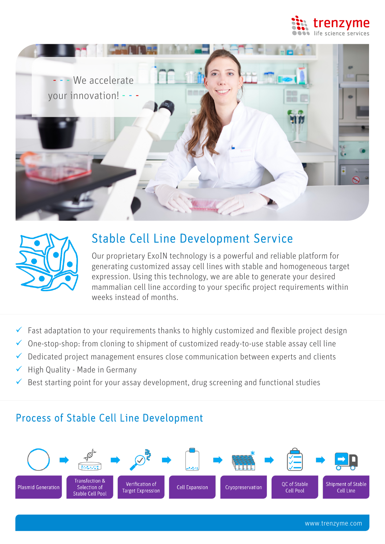





# Stable Cell Line Development Service

Our proprietary ExoIN technology is a powerful and reliable platform for generating customized assay cell lines with stable and homogeneous target expression. Using this technology, we are able to generate your desired mammalian cell line according to your specific project requirements within weeks instead of months.

- $\checkmark$  Fast adaptation to your requirements thanks to highly customized and flexible project design
- $\checkmark$  One-stop-shop: from cloning to shipment of customized ready-to-use stable assay cell line
- $\checkmark$  Dedicated project management ensures close communication between experts and clients
- $\checkmark$  High Quality Made in Germany
- � Best starting point for your assay development, drug screening and functional studies

## Process of Stable Cell Line Development